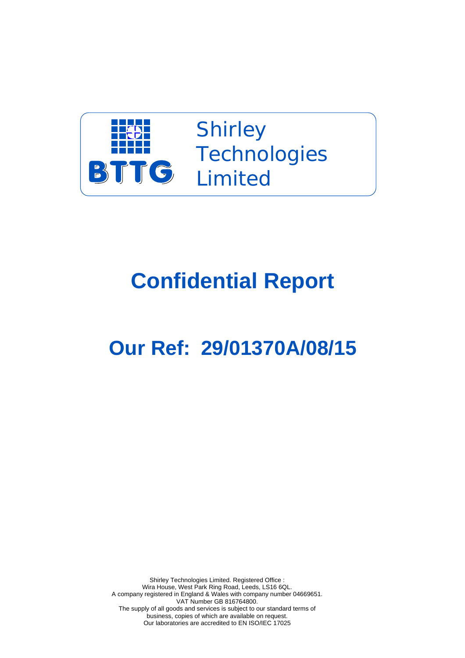

Shirley **Technologies TTG** Limited

## **Confidential Report**

## **Our Ref: 29/01370A/08/15**

Shirley Technologies Limited. Registered Office : Wira House, West Park Ring Road, Leeds, LS16 6QL. A company registered in England & Wales with company number 04669651. VAT Number GB 816764800. The supply of all goods and services is subject to our standard terms of business, copies of which are available on request. Our laboratories are accredited to EN ISO/IEC 17025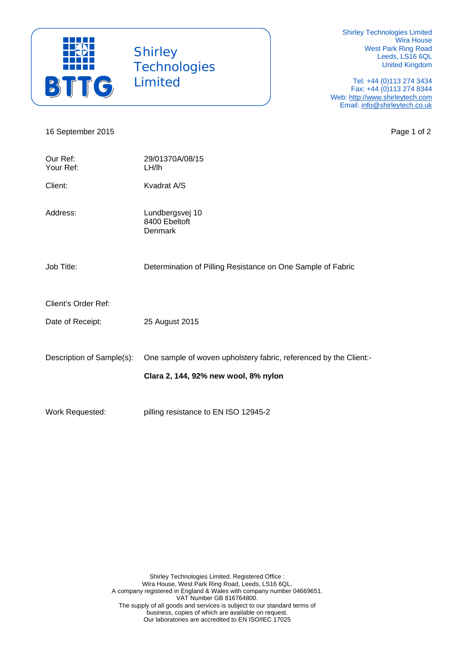

 Shirley **Technologies** Limited

Shirley Technologies Limited Wira House West Park Ring Road Leeds, LS16 6QL United Kingdom

Tel: +44 (0)113 274 3434 Fax: +44 (0)113 274 8344 Web: http://www.shirleytech.com Email: info@shirleytech.co.uk

16 September 2015 **Page 1 of 2** 

| Our Ref:<br>Your Ref:     | 29/01370A/08/15<br>LH/lh                                          |
|---------------------------|-------------------------------------------------------------------|
| Client:                   | Kvadrat A/S                                                       |
| Address:                  | Lundbergsvej 10<br>8400 Ebeltoft<br><b>Denmark</b>                |
| Job Title:                | Determination of Pilling Resistance on One Sample of Fabric       |
| Client's Order Ref:       |                                                                   |
| Date of Receipt:          | 25 August 2015                                                    |
| Description of Sample(s): | One sample of woven upholstery fabric, referenced by the Client:- |
|                           | Clara 2, 144, 92% new wool, 8% nylon                              |
| Work Requested:           | pilling resistance to EN ISO 12945-2                              |

Shirley Technologies Limited. Registered Office : Wira House, West Park Ring Road, Leeds, LS16 6QL. A company registered in England & Wales with company number 04669651. VAT Number GB 816764800. The supply of all goods and services is subject to our standard terms of business, copies of which are available on request. Our laboratories are accredited to EN ISO/IEC 17025